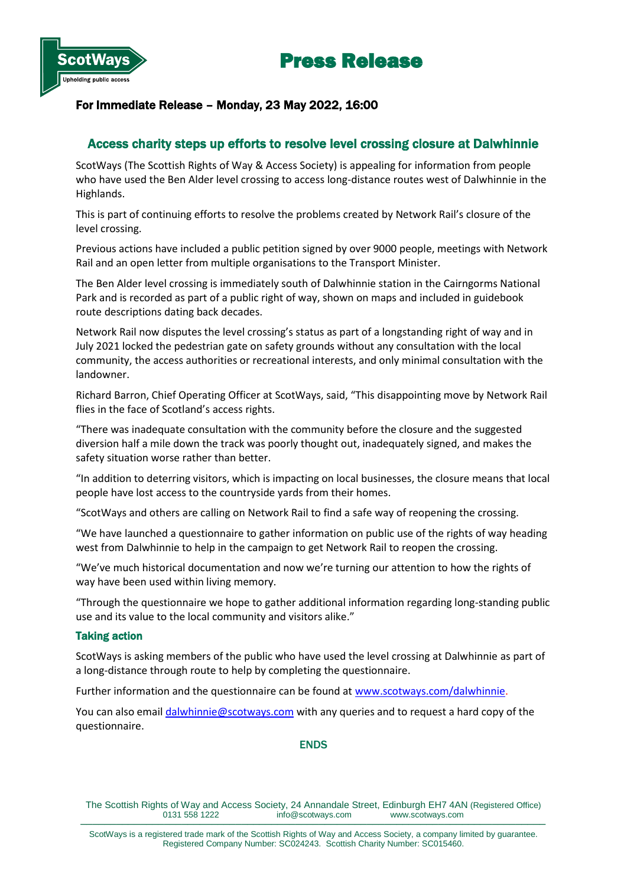



# For Immediate Release – Monday, 23 May 2022, 16:00

# Access charity steps up efforts to resolve level crossing closure at Dalwhinnie

ScotWays (The Scottish Rights of Way & Access Society) is appealing for information from people who have used the Ben Alder level crossing to access long-distance routes west of Dalwhinnie in the Highlands.

This is part of continuing efforts to resolve the problems created by Network Rail's closure of the level crossing.

Previous actions have included a public petition signed by over 9000 people, meetings with Network Rail and an open letter from multiple organisations to the Transport Minister.

The Ben Alder level crossing is immediately south of Dalwhinnie station in the Cairngorms National Park and is recorded as part of a public right of way, shown on maps and included in guidebook route descriptions dating back decades.

Network Rail now disputes the level crossing's status as part of a longstanding right of way and in July 2021 locked the pedestrian gate on safety grounds without any consultation with the local community, the access authorities or recreational interests, and only minimal consultation with the landowner.

Richard Barron, Chief Operating Officer at ScotWays, said, "This disappointing move by Network Rail flies in the face of Scotland's access rights.

"There was inadequate consultation with the community before the closure and the suggested diversion half a mile down the track was poorly thought out, inadequately signed, and makes the safety situation worse rather than better.

"In addition to deterring visitors, which is impacting on local businesses, the closure means that local people have lost access to the countryside yards from their homes.

"ScotWays and others are calling on Network Rail to find a safe way of reopening the crossing.

"We have launched a questionnaire to gather information on public use of the rights of way heading west from Dalwhinnie to help in the campaign to get Network Rail to reopen the crossing.

"We've much historical documentation and now we're turning our attention to how the rights of way have been used within living memory.

"Through the questionnaire we hope to gather additional information regarding long-standing public use and its value to the local community and visitors alike."

## Taking action

ScotWays is asking members of the public who have used the level crossing at Dalwhinnie as part of a long-distance through route to help by completing the questionnaire.

Further information and the questionnaire can be found at [www.scotways.com/dalwhinnie.](http://www.scotways.com/dalwhinnie)

You can also email [dalwhinnie@scotways.com](mailto:dalwhinnie@scotways.com) with any queries and to request a hard copy of the questionnaire.

## ENDS

The Scottish Rights of Way and Access Society, 24 Annandale Street, Edinburgh EH7 4AN (Registered Office) info@scotways.com www.scotways.com ──────────────────────────────────────────────────────────────────────────────